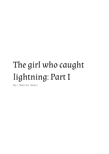## The girl who caught lightning: Part I

By: Mahika Bagri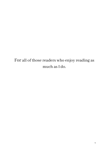For all of those readers who enjoy reading as much as I do.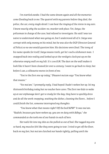I'm startled awake. I had the same dream again and all the memories come flooding back to me. The quarrel with my parents before they died, the police, the car, every single detail. Ican hearthe ringing of the sirensin my ears. I know exactly why the acciden–no, murder took place. Yet, Satya, the policeman in charge of the case, had refused to investigate. He said I wastoo naive to understand what was going on, but I understood all of it. Satya was corrupt with only money on his mind, but he was also the DGP (Director General of Police) so no one would question him. His decisions were final. The irony of his name speaks for itself. Satya means truth, yet he's such a dishonest man. I snapped back into reality and looked up at the verdigrisclock put up on the otherwise empty wall on my left. It's 2:00 A.M. The dust on the wall makesit look like it hasn't been cleaned for over a century. I want to go back to sleep, but before I can, a silhouette moves in front of me.

"You're the first one up today," Dhaanvi ma'am says"You know what that means."

"Yes ma'am,"I promptly reply. I had hoped I hadn't woken her up. Itś my thirteenth birthday today but no teacher here cares. The first two kidsto wake up at our orphanage don't get to study forthe day, they have to quickly dress and do all the work: mopping, washing the dishes,cleaning the floors... before I could finish the list, someone interrupted my thoughts.

"You know what that meansright? Off the bed NOW!"It was ma'am. "Nadish, because you have woken up, you are on duty with Adhya,"she commanded as she took one of our hands in each of hers.

Her nails bit into my skin asshe pulled us out of bed. She tugged my arm so hard, my muscles felt like they were going to tear. I tried to get off the floor, back on my feet, but ma'am clutched our hands tightly, pulling until she

2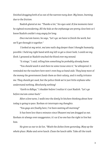finished dragging both of us out of the narrow rusty door. My knees, burning due to the friction.

Nadish glared at me. "Thanks a lot," his eyes said. A few moments later he sighted reconsidering. All the kids at the orphanage are pretty close knit so I knew Nadish couldn'tstay angry forlong.

Once ma'am leaves, he says, "Let's go, we have to finish the work, but we'll get through it together."

I looked at my wrist, ma'ams nails dug deeperthan I thought humanly possible. I held my right hand with my left to get a closerlook, Icould see my flesh. I groaned as Nadish touched the blood over my wound.

"Itstings,"Isaid, telling him something he probably already knew.

"You should wash it and then tie some tissue onto it," he whispered. It reminded me the teachers here won't even buy us band-aids. They keep most of the money the government funds them as their salary, and it really irritates me. They should get sued, but the police think we're just little orphans who understand nothing. Absolutely nothing!

"Earth to Adhya,"Ishudder before Irealize it'sjust Nadish."Let's go before ma'am comes back."

After a few turns, I walk into the dimly lit kitchen thinking about how today is going to pass. Roshan sir interrupts my thoughts.

"You guys are finally here, I've been waiting all morning!"

It has been less than 6 minutes since Dhaanvi ma'am dragged us out. Roshan sir always over exaggerates, it's asif no one hasthe right to live but him.

He gives us our to-do list, "Wash the dishes from yesterday. Mop up the whole place. Make and serve lunch. Clean the lunch table. Take all the trash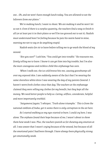out… Oh, and we won't have enough lunch today. You are allowed to eat the leftovers from our plates."

We're making lunch, I want to shout. We are making it and he won't let us eat it. Even if there is a surplus quantity, the teachers find a way to finish it all (or at least put it in their plates so we'll be too grossed out to eat it). Nadish must understand how I'm feeling because he puts his warm hand in mine, warning me not to say or do anything stupid.

Nadish waits for sir to leave before telling me to go wash the blood of my wound.

"Are you sure?"I ask him,"You could get into trouble." He reassures me, firmly telling me to leave. I know itcan get him into big trouble, but I'm also the most courageous and reckless child this orphanage has seen.

When I walk out, the ice cold breeze hits me, causing goosebumps all over my exposed skin. I am suddenly aware of the fact that I'm wearing the same sleeveless white dress I was wearing the day of my parents funeral. I haven't worn fresh clothes since that day. The teachers at the orphanage claimed they were selling my clothes for my benefit, but they kept all the money. We need better people to help us. Caring, selfless, considerate, helpful and most importantly truthful.

¨Satyameva Jayate,"I whisper, ¨Truth alone triumphs.¨ Thisisfrom the national emblem of India, yet it seems there is only corruption in the air here.

As I started walking as my eyes started to burn. I could cry here, I was alone. The orphansfound their hope because of me, I wasn't about to show them how weak I was. Plus, the teachers punish us for showing any emotion at all. I was aware that I wasn't crying because of the wound, but because of all the emotional pain I had been through. I have always been physically strong yet emotionally weak.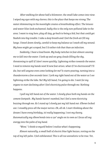After walking for about half a kilometer, the small lake comesinto view. I wiped my eyes with my sleeves; this is the place that keeps me strong. The water shimmering in the moonlight creates a breathtaking effect. The lotuses and water lilies look enchanted. Sadly this is the only non-polluted lake in the area. I want to stay here, play all day, go back to being a kid, but that could get Nadish into big trouble. I take a deep breath and I feel the fresh airfill my lungs. I kneel down slowly, careful to keep my balance as I wash off my wound. My knee might get scraped, but I'd rather risk that than an infection.

Suddenly, I hear a loud boom. My body twitches in fear almost causing me to fall into the water. I look up and see grey clouds filling the sky, threatening to spill if I don't move quickly. Lightning strikes towards the water. I need to remove my hands now! A new fear arises, what if I'm electrocuted? I'll die, but will anyone even come looking for me? It starts pouring, turning into a thunderstorm a few seconds later. I jerk my right hand out of the water as I see lightning strike the lake. No! My left hand, I'm going to die. I wait for my organs to start declining after I feel electricity pulse through me. Nothing happens.

I pull my left hand out of the water. Islowly place both my hands on the cement footpath. My hands haven't numbed, but I feel a new electricity buzzing through me. As I stand up I slowly put my left hand out. Elbows locked out. Isteadily press all the major nerves. Ok, all ok. Istart thinking about the dream I have every birthday, itśreally happening. I test my theory. Automatically my elbow bends into a 150° angle on its own as I focus all my energy into the palm of my hand.

"Wow,"I think to myself before Irealize what's happening.

Almost naturally, a small ball of electric blue light buzzes,resting on the top of my left palm. I feel exhilarated. This is all too unrealistic to be true. Yet,